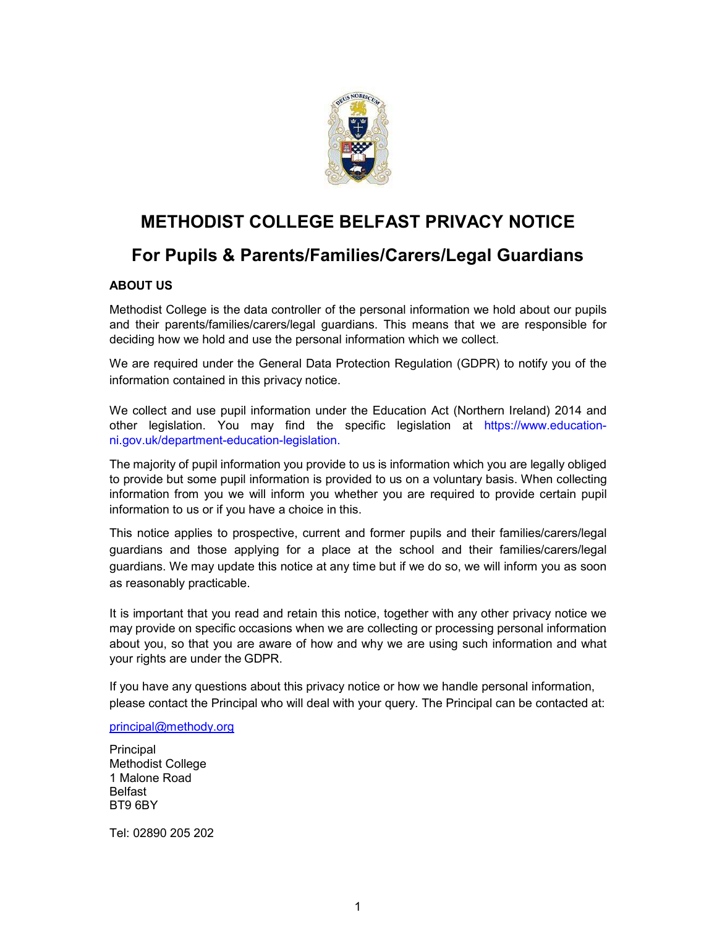

# METHODIST COLLEGE BELFAST PRIVACY NOTICE

# For Pupils & Parents/Families/Carers/Legal Guardians

# ABOUT US

Methodist College is the data controller of the personal information we hold about our pupils and their parents/families/carers/legal guardians. This means that we are responsible for deciding how we hold and use the personal information which we collect.

We are required under the General Data Protection Regulation (GDPR) to notify you of the information contained in this privacy notice.

We collect and use pupil information under the Education Act (Northern Ireland) 2014 and other legislation. You may find the specific legislation at https://www.educationni.gov.uk/department-education-legislation.

The majority of pupil information you provide to us is information which you are legally obliged to provide but some pupil information is provided to us on a voluntary basis. When collecting information from you we will inform you whether you are required to provide certain pupil information to us or if you have a choice in this.

This notice applies to prospective, current and former pupils and their families/carers/legal guardians and those applying for a place at the school and their families/carers/legal guardians. We may update this notice at any time but if we do so, we will inform you as soon as reasonably practicable.

It is important that you read and retain this notice, together with any other privacy notice we may provide on specific occasions when we are collecting or processing personal information about you, so that you are aware of how and why we are using such information and what your rights are under the GDPR.

If you have any questions about this privacy notice or how we handle personal information, please contact the Principal who will deal with your query. The Principal can be contacted at:

principal@methody.org

**Principal** Methodist College 1 Malone Road Belfast BT9 6BY

Tel: 02890 205 202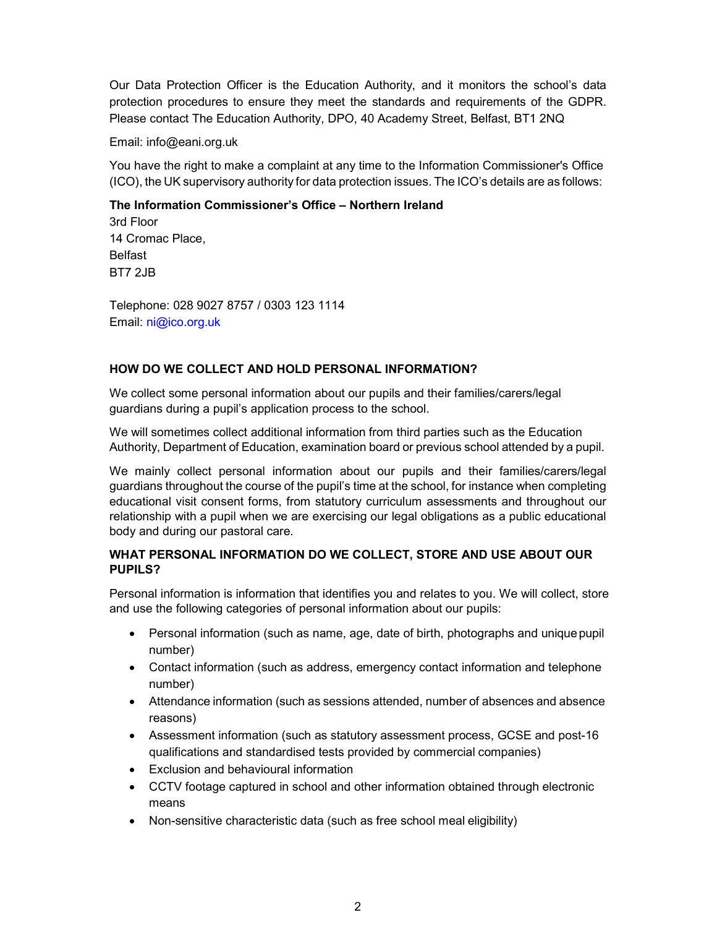Our Data Protection Officer is the Education Authority, and it monitors the school's data protection procedures to ensure they meet the standards and requirements of the GDPR. Please contact The Education Authority, DPO, 40 Academy Street, Belfast, BT1 2NQ

Email: info@eani.org.uk

You have the right to make a complaint at any time to the Information Commissioner's Office (ICO), the UK supervisory authority for data protection issues. The ICO's details are as follows:

## The Information Commissioner's Office – Northern Ireland

3rd Floor 14 Cromac Place, Belfast BT7 2JB

Telephone: 028 9027 8757 / 0303 123 1114 Email: ni@ico.org.uk

## HOW DO WE COLLECT AND HOLD PERSONAL INFORMATION?

We collect some personal information about our pupils and their families/carers/legal guardians during a pupil's application process to the school.

We will sometimes collect additional information from third parties such as the Education Authority, Department of Education, examination board or previous school attended by a pupil.

We mainly collect personal information about our pupils and their families/carers/legal guardians throughout the course of the pupil's time at the school, for instance when completing educational visit consent forms, from statutory curriculum assessments and throughout our relationship with a pupil when we are exercising our legal obligations as a public educational body and during our pastoral care.

# WHAT PERSONAL INFORMATION DO WE COLLECT, STORE AND USE ABOUT OUR PUPILS?

Personal information is information that identifies you and relates to you. We will collect, store and use the following categories of personal information about our pupils:

- Personal information (such as name, age, date of birth, photographs and unique pupil number)
- Contact information (such as address, emergency contact information and telephone number)
- Attendance information (such as sessions attended, number of absences and absence reasons)
- Assessment information (such as statutory assessment process, GCSE and post-16 qualifications and standardised tests provided by commercial companies)
- Exclusion and behavioural information
- CCTV footage captured in school and other information obtained through electronic means
- Non-sensitive characteristic data (such as free school meal eligibility)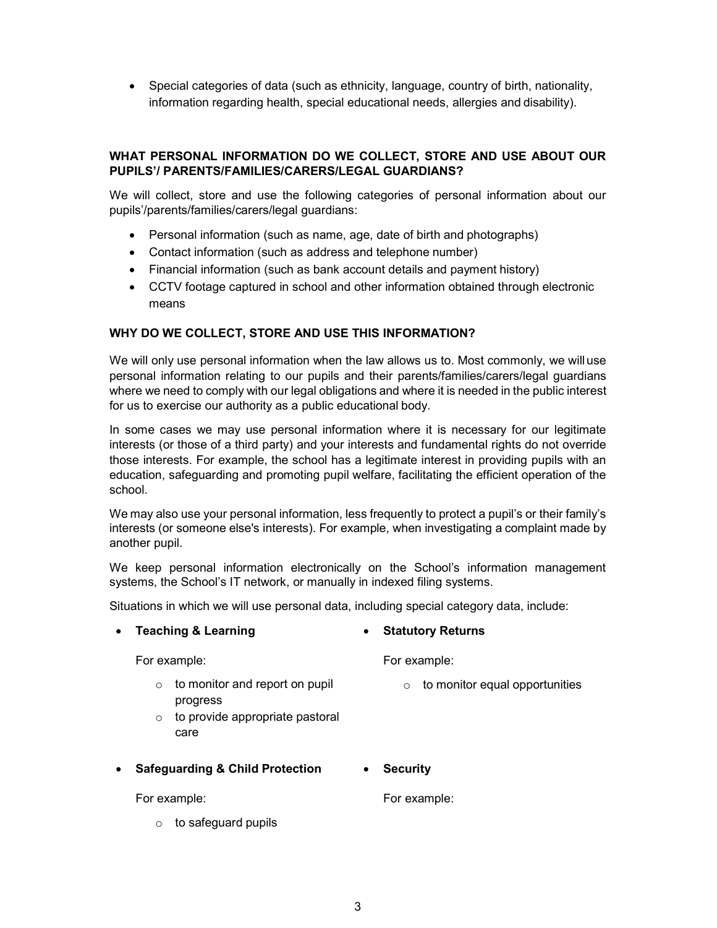Special categories of data (such as ethnicity, language, country of birth, nationality, information regarding health, special educational needs, allergies and disability).

# WHAT PERSONAL INFORMATION DO WE COLLECT, STORE AND USE ABOUT OUR PUPILS'/ PARENTS/FAMILIES/CARERS/LEGAL GUARDIANS?

We will collect, store and use the following categories of personal information about our pupils'/parents/families/carers/legal guardians:

- Personal information (such as name, age, date of birth and photographs)
- Contact information (such as address and telephone number)
- Financial information (such as bank account details and payment history)
- CCTV footage captured in school and other information obtained through electronic means

## WHY DO WE COLLECT, STORE AND USE THIS INFORMATION?

We will only use personal information when the law allows us to. Most commonly, we will use personal information relating to our pupils and their parents/families/carers/legal guardians where we need to comply with our legal obligations and where it is needed in the public interest for us to exercise our authority as a public educational body.

In some cases we may use personal information where it is necessary for our legitimate interests (or those of a third party) and your interests and fundamental rights do not override those interests. For example, the school has a legitimate interest in providing pupils with an education, safeguarding and promoting pupil welfare, facilitating the efficient operation of the school.

We may also use your personal information, less frequently to protect a pupil's or their family's interests (or someone else's interests). For example, when investigating a complaint made by another pupil.

We keep personal information electronically on the School's information management systems, the School's IT network, or manually in indexed filing systems.

Situations in which we will use personal data, including special category data, include:

| $\bullet$ | <b>Teaching &amp; Learning</b>                                                                              | <b>Statutory Returns</b><br>$\bullet$     |
|-----------|-------------------------------------------------------------------------------------------------------------|-------------------------------------------|
|           | For example:                                                                                                | For example:                              |
|           | to monitor and report on pupil<br>$\circ$<br>progress<br>to provide appropriate pastoral<br>$\circ$<br>care | to monitor equal opportunities<br>$\circ$ |
| $\bullet$ | <b>Safeguarding &amp; Child Protection</b>                                                                  | <b>Security</b><br>$\bullet$              |
|           | For example:                                                                                                | For example:                              |

 $\circ$  to safeguard pupils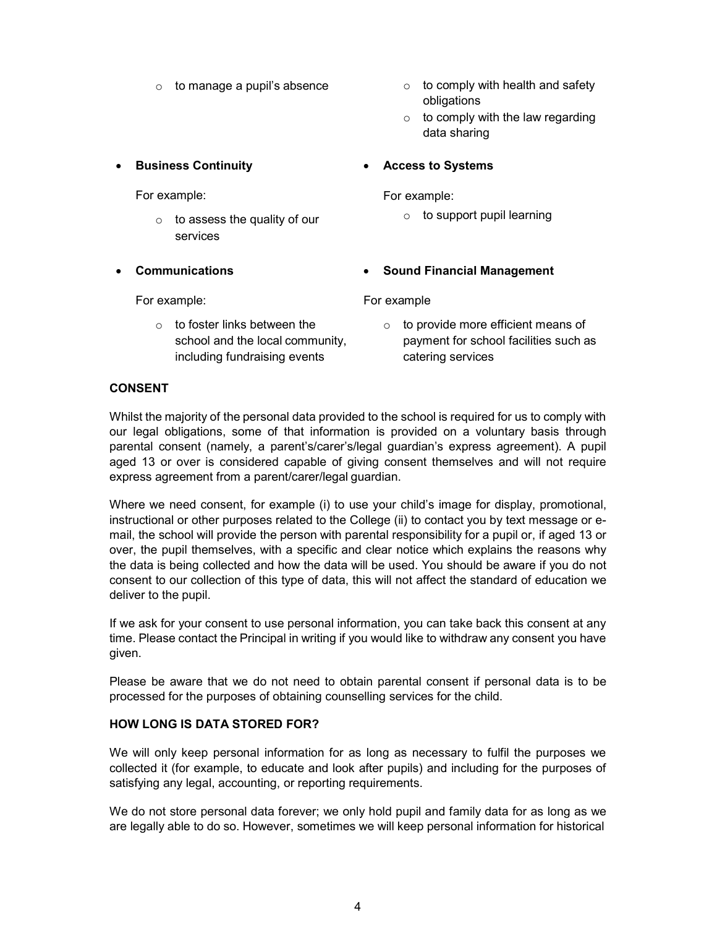- 
- $\circ$  to manage a pupil's absence  $\circ$  to comply with health and safety obligations
	- $\circ$  to comply with the law regarding data sharing

# **•** Business Continuity

For example:

- $\circ$  to assess the quality of our services
- Communications

For example:

 $\circ$  to foster links between the school and the local community, including fundraising events

For example:

Access to Systems

 $\circ$  to support pupil learning

# Sound Financial Management

For example

 $\circ$  to provide more efficient means of payment for school facilities such as catering services

# CONSENT

Whilst the majority of the personal data provided to the school is required for us to comply with our legal obligations, some of that information is provided on a voluntary basis through parental consent (namely, a parent's/carer's/legal guardian's express agreement). A pupil aged 13 or over is considered capable of giving consent themselves and will not require express agreement from a parent/carer/legal guardian.

Where we need consent, for example (i) to use your child's image for display, promotional, instructional or other purposes related to the College (ii) to contact you by text message or email, the school will provide the person with parental responsibility for a pupil or, if aged 13 or over, the pupil themselves, with a specific and clear notice which explains the reasons why the data is being collected and how the data will be used. You should be aware if you do not consent to our collection of this type of data, this will not affect the standard of education we deliver to the pupil.

If we ask for your consent to use personal information, you can take back this consent at any time. Please contact the Principal in writing if you would like to withdraw any consent you have given.

Please be aware that we do not need to obtain parental consent if personal data is to be processed for the purposes of obtaining counselling services for the child.

## HOW LONG IS DATA STORED FOR?

We will only keep personal information for as long as necessary to fulfil the purposes we collected it (for example, to educate and look after pupils) and including for the purposes of satisfying any legal, accounting, or reporting requirements.

We do not store personal data forever; we only hold pupil and family data for as long as we are legally able to do so. However, sometimes we will keep personal information for historical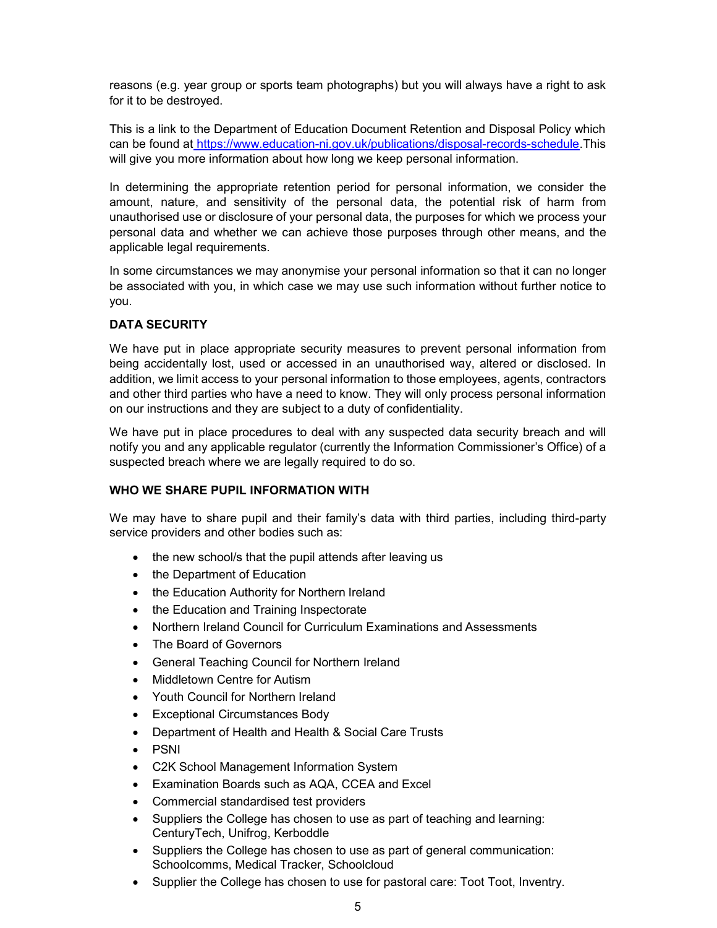reasons (e.g. year group or sports team photographs) but you will always have a right to ask for it to be destroyed.

This is a link to the Department of Education Document Retention and Disposal Policy which can be found at https://www.education-ni.gov.uk/publications/disposal-records-schedule.This will give you more information about how long we keep personal information.

In determining the appropriate retention period for personal information, we consider the amount, nature, and sensitivity of the personal data, the potential risk of harm from unauthorised use or disclosure of your personal data, the purposes for which we process your personal data and whether we can achieve those purposes through other means, and the applicable legal requirements.

In some circumstances we may anonymise your personal information so that it can no longer be associated with you, in which case we may use such information without further notice to you.

# DATA SECURITY

We have put in place appropriate security measures to prevent personal information from being accidentally lost, used or accessed in an unauthorised way, altered or disclosed. In addition, we limit access to your personal information to those employees, agents, contractors and other third parties who have a need to know. They will only process personal information on our instructions and they are subject to a duty of confidentiality.

We have put in place procedures to deal with any suspected data security breach and will notify you and any applicable regulator (currently the Information Commissioner's Office) of a suspected breach where we are legally required to do so.

## WHO WE SHARE PUPIL INFORMATION WITH

We may have to share pupil and their family's data with third parties, including third-party service providers and other bodies such as:

- the new school/s that the pupil attends after leaving us
- the Department of Education
- the Education Authority for Northern Ireland
- the Education and Training Inspectorate
- Northern Ireland Council for Curriculum Examinations and Assessments
- The Board of Governors
- General Teaching Council for Northern Ireland
- Middletown Centre for Autism
- Youth Council for Northern Ireland
- Exceptional Circumstances Body
- Department of Health and Health & Social Care Trusts
- PSNI
- C2K School Management Information System
- Examination Boards such as AQA, CCEA and Excel
- Commercial standardised test providers
- Suppliers the College has chosen to use as part of teaching and learning: CenturyTech, Unifrog, Kerboddle
- Suppliers the College has chosen to use as part of general communication: Schoolcomms, Medical Tracker, Schoolcloud
- Supplier the College has chosen to use for pastoral care: Toot Toot, Inventry.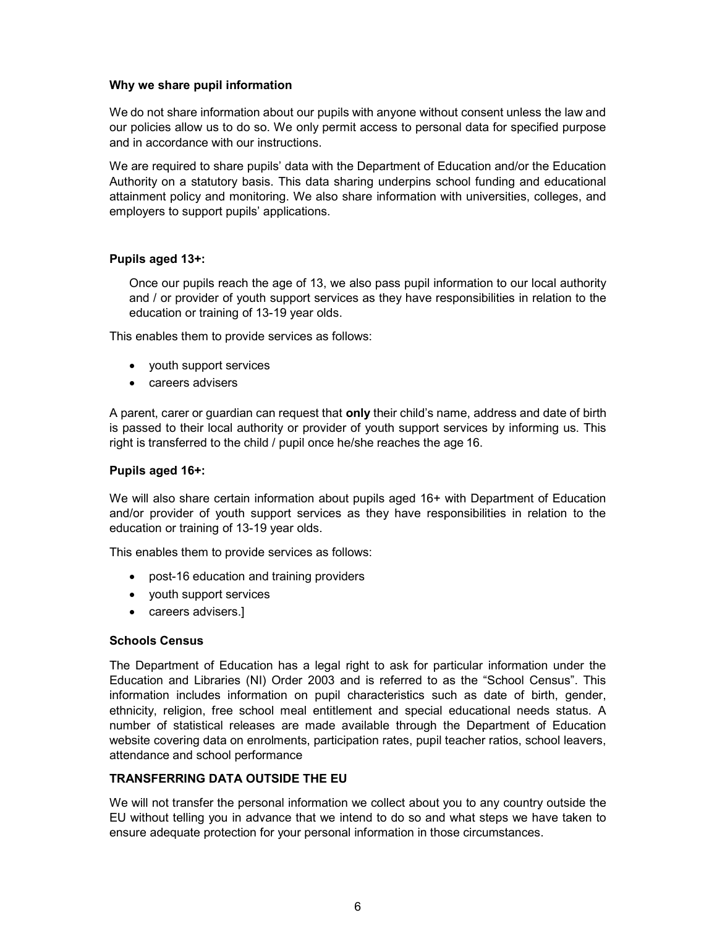#### Why we share pupil information

We do not share information about our pupils with anyone without consent unless the law and our policies allow us to do so. We only permit access to personal data for specified purpose and in accordance with our instructions.

We are required to share pupils' data with the Department of Education and/or the Education Authority on a statutory basis. This data sharing underpins school funding and educational attainment policy and monitoring. We also share information with universities, colleges, and employers to support pupils' applications.

## Pupils aged 13+:

Once our pupils reach the age of 13, we also pass pupil information to our local authority and / or provider of youth support services as they have responsibilities in relation to the education or training of 13-19 year olds.

This enables them to provide services as follows:

- youth support services
- careers advisers

A parent, carer or guardian can request that **only** their child's name, address and date of birth is passed to their local authority or provider of youth support services by informing us. This right is transferred to the child / pupil once he/she reaches the age 16.

#### Pupils aged 16+:

We will also share certain information about pupils aged 16+ with Department of Education and/or provider of youth support services as they have responsibilities in relation to the education or training of 13-19 year olds.

This enables them to provide services as follows:

- post-16 education and training providers
- youth support services
- careers advisers.]

#### Schools Census

The Department of Education has a legal right to ask for particular information under the Education and Libraries (NI) Order 2003 and is referred to as the "School Census". This information includes information on pupil characteristics such as date of birth, gender, ethnicity, religion, free school meal entitlement and special educational needs status. A number of statistical releases are made available through the Department of Education website covering data on enrolments, participation rates, pupil teacher ratios, school leavers, attendance and school performance

## TRANSFERRING DATA OUTSIDE THE EU

We will not transfer the personal information we collect about you to any country outside the EU without telling you in advance that we intend to do so and what steps we have taken to ensure adequate protection for your personal information in those circumstances.